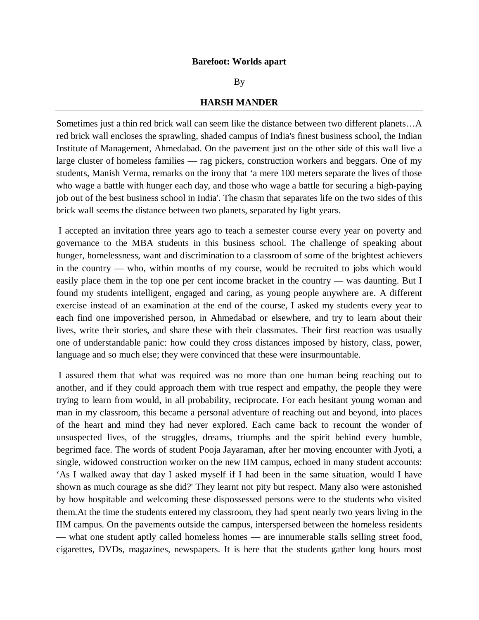## **Barefoot: Worlds apart**

## By

## **HARSH MANDER**

Sometimes just a thin red brick wall can seem like the distance between two different planets…A red brick wall encloses the sprawling, shaded campus of India's finest business school, the Indian Institute of Management, Ahmedabad. On the pavement just on the other side of this wall live a large cluster of homeless families — rag pickers, construction workers and beggars. One of my students, Manish Verma, remarks on the irony that 'a mere 100 meters separate the lives of those who wage a battle with hunger each day, and those who wage a battle for securing a high-paying job out of the best business school in India'. The chasm that separates life on the two sides of this brick wall seems the distance between two planets, separated by light years.

I accepted an invitation three years ago to teach a semester course every year on poverty and governance to the MBA students in this business school. The challenge of speaking about hunger, homelessness, want and discrimination to a classroom of some of the brightest achievers in the country — who, within months of my course, would be recruited to jobs which would easily place them in the top one per cent income bracket in the country — was daunting. But I found my students intelligent, engaged and caring, as young people anywhere are. A different exercise instead of an examination at the end of the course, I asked my students every year to each find one impoverished person, in Ahmedabad or elsewhere, and try to learn about their lives, write their stories, and share these with their classmates. Their first reaction was usually one of understandable panic: how could they cross distances imposed by history, class, power, language and so much else; they were convinced that these were insurmountable.

I assured them that what was required was no more than one human being reaching out to another, and if they could approach them with true respect and empathy, the people they were trying to learn from would, in all probability, reciprocate. For each hesitant young woman and man in my classroom, this became a personal adventure of reaching out and beyond, into places of the heart and mind they had never explored. Each came back to recount the wonder of unsuspected lives, of the struggles, dreams, triumphs and the spirit behind every humble, begrimed face. The words of student Pooja Jayaraman, after her moving encounter with Jyoti, a single, widowed construction worker on the new IIM campus, echoed in many student accounts: 'As I walked away that day I asked myself if I had been in the same situation, would I have shown as much courage as she did?' They learnt not pity but respect. Many also were astonished by how hospitable and welcoming these dispossessed persons were to the students who visited them.At the time the students entered my classroom, they had spent nearly two years living in the IIM campus. On the pavements outside the campus, interspersed between the homeless residents — what one student aptly called homeless homes — are innumerable stalls selling street food, cigarettes, DVDs, magazines, newspapers. It is here that the students gather long hours most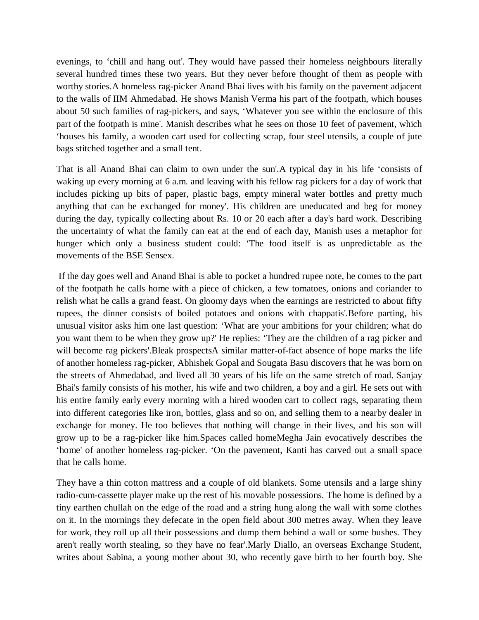evenings, to 'chill and hang out'. They would have passed their homeless neighbours literally several hundred times these two years. But they never before thought of them as people with worthy stories.A homeless rag-picker Anand Bhai lives with his family on the pavement adjacent to the walls of IIM Ahmedabad. He shows Manish Verma his part of the footpath, which houses about 50 such families of rag-pickers, and says, 'Whatever you see within the enclosure of this part of the footpath is mine'. Manish describes what he sees on those 10 feet of pavement, which 'houses his family, a wooden cart used for collecting scrap, four steel utensils, a couple of jute bags stitched together and a small tent.

That is all Anand Bhai can claim to own under the sun'.A typical day in his life 'consists of waking up every morning at 6 a.m. and leaving with his fellow rag pickers for a day of work that includes picking up bits of paper, plastic bags, empty mineral water bottles and pretty much anything that can be exchanged for money'. His children are uneducated and beg for money during the day, typically collecting about Rs. 10 or 20 each after a day's hard work. Describing the uncertainty of what the family can eat at the end of each day, Manish uses a metaphor for hunger which only a business student could: 'The food itself is as unpredictable as the movements of the BSE Sensex.

If the day goes well and Anand Bhai is able to pocket a hundred rupee note, he comes to the part of the footpath he calls home with a piece of chicken, a few tomatoes, onions and coriander to relish what he calls a grand feast. On gloomy days when the earnings are restricted to about fifty rupees, the dinner consists of boiled potatoes and onions with chappatis'.Before parting, his unusual visitor asks him one last question: 'What are your ambitions for your children; what do you want them to be when they grow up?' He replies: 'They are the children of a rag picker and will become rag pickers'.Bleak prospectsA similar matter-of-fact absence of hope marks the life of another homeless rag-picker, Abhishek Gopal and Sougata Basu discovers that he was born on the streets of Ahmedabad, and lived all 30 years of his life on the same stretch of road. Sanjay Bhai's family consists of his mother, his wife and two children, a boy and a girl. He sets out with his entire family early every morning with a hired wooden cart to collect rags, separating them into different categories like iron, bottles, glass and so on, and selling them to a nearby dealer in exchange for money. He too believes that nothing will change in their lives, and his son will grow up to be a rag-picker like him.Spaces called homeMegha Jain evocatively describes the 'home' of another homeless rag-picker. 'On the pavement, Kanti has carved out a small space that he calls home.

They have a thin cotton mattress and a couple of old blankets. Some utensils and a large shiny radio-cum-cassette player make up the rest of his movable possessions. The home is defined by a tiny earthen chullah on the edge of the road and a string hung along the wall with some clothes on it. In the mornings they defecate in the open field about 300 metres away. When they leave for work, they roll up all their possessions and dump them behind a wall or some bushes. They aren't really worth stealing, so they have no fear'.Marly Diallo, an overseas Exchange Student, writes about Sabina, a young mother about 30, who recently gave birth to her fourth boy. She